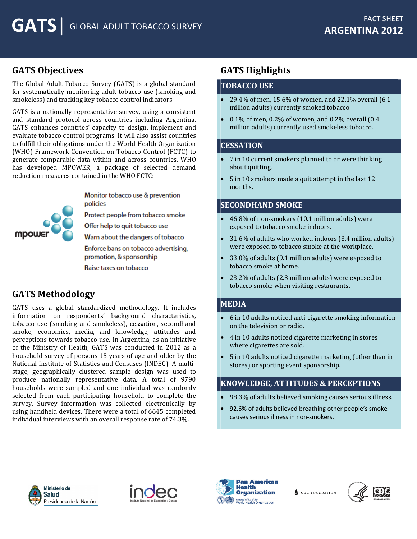# **GATS Objectives**

The Global Adult Tobacco Survey (GATS) is a global standard for systematically monitoring adult tobacco use (smoking and smokeless) and tracking key tobacco control indicators.

GATS is a nationally representative survey, using a consistent and standard protocol across countries including Argentina. GATS enhances countries' capacity to design, implement and evaluate tobacco control programs. It will also assist countries to fulfill their obligations under the World Health Organization (WHO) Framework Convention on Tobacco Control (FCTC) to generate comparable data within and across countries. WHO has developed MPOWER, a package of selected demand reduction measures contained in the WHO FCTC:



Monitor tobacco use & prevention policies

Protect people from tobacco smoke

Offer help to quit tobacco use

Warn about the dangers of tobacco

Enforce bans on tobacco advertising, promotion, & sponsorship

Raise taxes on tobacco

# **GATS Methodology**

GATS uses a global standardized methodology. It includes information on respondents' background characteristics, tobacco use (smoking and smokeless), cessation, secondhand smoke, economics, media, and knowledge, attitudes and perceptions towards tobacco use. In Argentina, as an initiative of the Ministry of Health, GATS was conducted in 2012 as a household survey of persons 15 years of age and older by the National Institute of Statistics and Censuses (INDEC). A multistage, geographically clustered sample design was used to produce nationally representative data. A total of 9790 households were sampled and one individual was randomly selected from each participating household to complete the survey. Survey information was collected electronically by using handheld devices. There were a total of 6645 completed individual interviews with an overall response rate of 74.3%.

# **GATS Highlights**

## **TOBACCO USE**

- 29.4% of men, 15.6% of women, and 22.1% overall  $(6.1)$ million adults) currently smoked tobacco.
- $\bullet$  0.1% of men, 0.2% of women, and 0.2% overall (0.4) million adults) currently used smokeless tobacco.

## **CESSATION**

- 7 in 10 current smokers planned to or were thinking about quitting.
- 5 in 10 smokers made a quit attempt in the last 12 months.

## **SECONDHAND SMOKE**

- 46.8% of non-smokers (10.1 million adults) were exposed to tobacco smoke indoors.
- 31.6% of adults who worked indoors (3.4 million adults) were exposed to tobacco smoke at the workplace.
- 33.0% of adults (9.1 million adults) were exposed to tobacco smoke at home.
- 23.2% of adults (2.3 million adults) were exposed to tobacco smoke when visiting restaurants.

#### **MEDIA**

- 6 in 10 adults noticed anti-cigarette smoking information on the television or radio.
- 4 in 10 adults noticed cigarette marketing in stores where cigarettes are sold.
- 5 in 10 adults noticed cigarette marketing (other than in stores) or sporting event sponsorship.

## **KNOWLEDGE, ATTITUDES & PERCEPTIONS**

- 98.3% of adults believed smoking causes serious illness.
- 92.6% of adults believed breathing other people's smoke causes serious illness in non-smokers.







**CDC FOUNDATION**